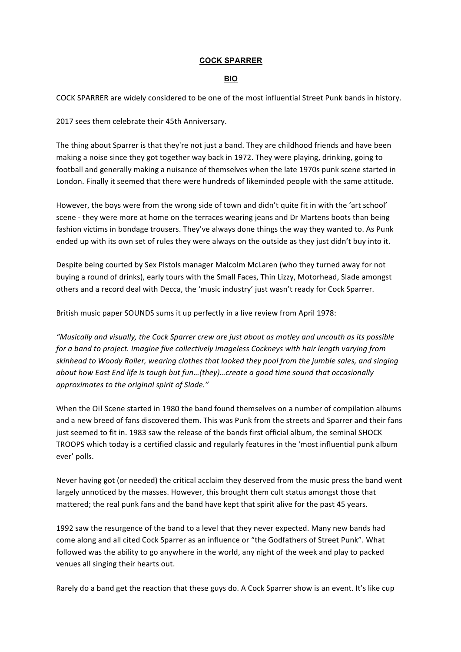## **COCK SPARRER**

## **BIO**

COCK SPARRER are widely considered to be one of the most influential Street Punk bands in history.

2017 sees them celebrate their 45th Anniversary.

The thing about Sparrer is that they're not just a band. They are childhood friends and have been making a noise since they got together way back in 1972. They were playing, drinking, going to football and generally making a nuisance of themselves when the late 1970s punk scene started in London. Finally it seemed that there were hundreds of likeminded people with the same attitude.

However, the boys were from the wrong side of town and didn't quite fit in with the 'art school' scene - they were more at home on the terraces wearing jeans and Dr Martens boots than being fashion victims in bondage trousers. They've always done things the way they wanted to. As Punk ended up with its own set of rules they were always on the outside as they just didn't buy into it.

Despite being courted by Sex Pistols manager Malcolm McLaren (who they turned away for not buying a round of drinks), early tours with the Small Faces, Thin Lizzy, Motorhead, Slade amongst others and a record deal with Decca, the 'music industry' just wasn't ready for Cock Sparrer.

British music paper SOUNDS sums it up perfectly in a live review from April 1978:

*"Musically and visually, the Cock Sparrer crew are just about as motley and uncouth as its possible for a band to project. Imagine five collectively imageless Cockneys with hair length varying from* skinhead to Woody Roller, wearing clothes that looked they pool from the jumble sales, and singing *about how East End life is tough but fun...(they)...create a good time sound that occasionally* approximates to the original spirit of Slade."

When the Oi! Scene started in 1980 the band found themselves on a number of compilation albums and a new breed of fans discovered them. This was Punk from the streets and Sparrer and their fans just seemed to fit in. 1983 saw the release of the bands first official album, the seminal SHOCK TROOPS which today is a certified classic and regularly features in the 'most influential punk album ever' polls.

Never having got (or needed) the critical acclaim they deserved from the music press the band went largely unnoticed by the masses. However, this brought them cult status amongst those that mattered; the real punk fans and the band have kept that spirit alive for the past 45 years.

1992 saw the resurgence of the band to a level that they never expected. Many new bands had come along and all cited Cock Sparrer as an influence or "the Godfathers of Street Punk". What followed was the ability to go anywhere in the world, any night of the week and play to packed venues all singing their hearts out.

Rarely do a band get the reaction that these guys do. A Cock Sparrer show is an event. It's like cup